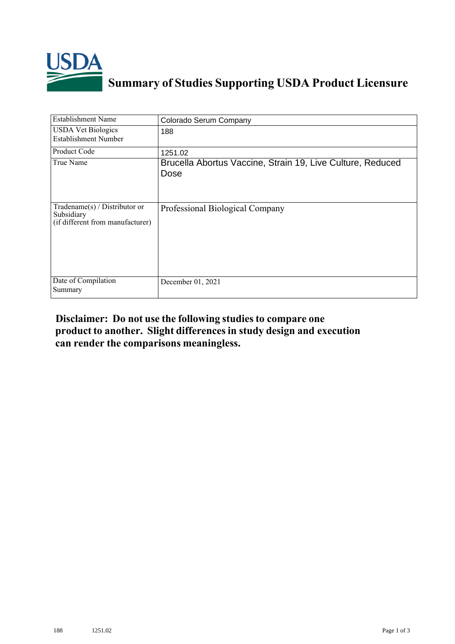

## **Summary of Studies Supporting USDA Product Licensure**

| <b>Establishment Name</b>                                                          | Colorado Serum Company                                             |
|------------------------------------------------------------------------------------|--------------------------------------------------------------------|
| <b>USDA Vet Biologics</b><br>Establishment Number                                  | 188                                                                |
| Product Code                                                                       | 1251.02                                                            |
| True Name                                                                          | Brucella Abortus Vaccine, Strain 19, Live Culture, Reduced<br>Dose |
| Tradename $(s)$ / Distributor or<br>Subsidiary<br>(if different from manufacturer) | Professional Biological Company                                    |
| Date of Compilation<br>Summary                                                     | December 01, 2021                                                  |

## **Disclaimer: Do not use the following studiesto compare one product to another. Slight differencesin study design and execution can render the comparisons meaningless.**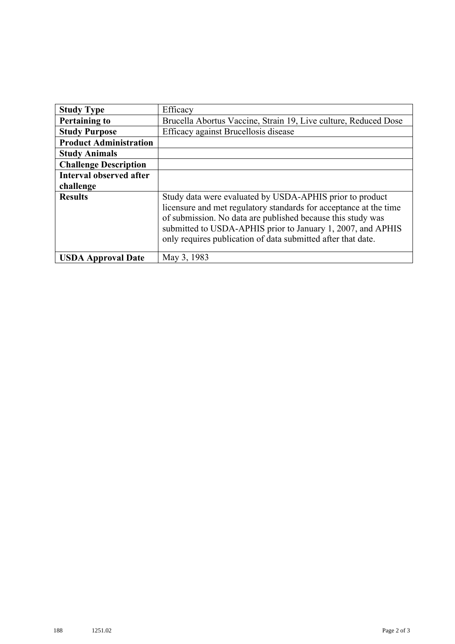| <b>Study Type</b>              | Efficacy                                                                                                                                                                                                                                                                                                                    |
|--------------------------------|-----------------------------------------------------------------------------------------------------------------------------------------------------------------------------------------------------------------------------------------------------------------------------------------------------------------------------|
| <b>Pertaining to</b>           | Brucella Abortus Vaccine, Strain 19, Live culture, Reduced Dose                                                                                                                                                                                                                                                             |
| <b>Study Purpose</b>           | Efficacy against Brucellosis disease                                                                                                                                                                                                                                                                                        |
| <b>Product Administration</b>  |                                                                                                                                                                                                                                                                                                                             |
| <b>Study Animals</b>           |                                                                                                                                                                                                                                                                                                                             |
| <b>Challenge Description</b>   |                                                                                                                                                                                                                                                                                                                             |
| <b>Interval observed after</b> |                                                                                                                                                                                                                                                                                                                             |
| challenge                      |                                                                                                                                                                                                                                                                                                                             |
| <b>Results</b>                 | Study data were evaluated by USDA-APHIS prior to product<br>licensure and met regulatory standards for acceptance at the time<br>of submission. No data are published because this study was<br>submitted to USDA-APHIS prior to January 1, 2007, and APHIS<br>only requires publication of data submitted after that date. |
| <b>USDA Approval Date</b>      | May 3, 1983                                                                                                                                                                                                                                                                                                                 |